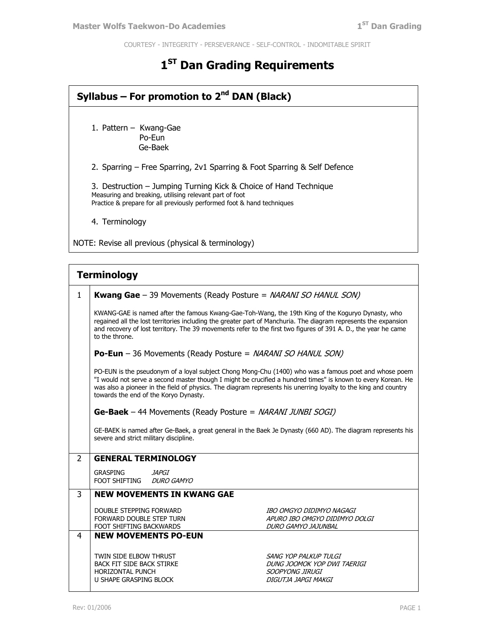COURTESY - INTEGERITY - PERSEVERANCE - SELF-CONTROL - INDOMITABLE SPIRIT

## **1 ST Dan Grading Requirements**

| Syllabus – For promotion to $2^{nd}$ DAN (Black)                                                                                                                                                      |  |  |  |
|-------------------------------------------------------------------------------------------------------------------------------------------------------------------------------------------------------|--|--|--|
| 1. Pattern – Kwang-Gae<br>Po-Eun<br>Ge-Baek                                                                                                                                                           |  |  |  |
| 2. Sparring – Free Sparring, 2v1 Sparring & Foot Sparring & Self Defence                                                                                                                              |  |  |  |
| 3. Destruction – Jumping Turning Kick & Choice of Hand Technique<br>Measuring and breaking, utilising relevant part of foot<br>Practice & prepare for all previously performed foot & hand techniques |  |  |  |
| 4. Terminology                                                                                                                                                                                        |  |  |  |
| NOTE: Revise all previous (physical & terminology)                                                                                                                                                    |  |  |  |

| <b>Terminology</b> |                                                                                                                                                                                                                                                                                                                                                                                   |                                                                                                |  |
|--------------------|-----------------------------------------------------------------------------------------------------------------------------------------------------------------------------------------------------------------------------------------------------------------------------------------------------------------------------------------------------------------------------------|------------------------------------------------------------------------------------------------|--|
| $\mathbf{1}$       | <b>Kwang Gae</b> - 39 Movements (Ready Posture = NARANI SO HANUL SON)                                                                                                                                                                                                                                                                                                             |                                                                                                |  |
|                    | KWANG-GAE is named after the famous Kwang-Gae-Toh-Wang, the 19th King of the Koguryo Dynasty, who<br>regained all the lost territories including the greater part of Manchuria. The diagram represents the expansion<br>and recovery of lost territory. The 39 movements refer to the first two figures of 391 A. D., the year he came<br>to the throne.                          |                                                                                                |  |
|                    | <b>Po-Eun</b> - 36 Movements (Ready Posture = NARANI SO HANUL SON)                                                                                                                                                                                                                                                                                                                |                                                                                                |  |
|                    | PO-EUN is the pseudonym of a loyal subject Chong Mong-Chu (1400) who was a famous poet and whose poem<br>"I would not serve a second master though I might be crucified a hundred times" is known to every Korean. He<br>was also a pioneer in the field of physics. The diagram represents his unerring loyalty to the king and country<br>towards the end of the Koryo Dynasty. |                                                                                                |  |
|                    | <b>Ge-Baek</b> – 44 Movements (Ready Posture = <i>NARANI JUNBI SOGI)</i>                                                                                                                                                                                                                                                                                                          |                                                                                                |  |
|                    | GE-BAEK is named after Ge-Baek, a great general in the Baek Je Dynasty (660 AD). The diagram represents his<br>severe and strict military discipline.                                                                                                                                                                                                                             |                                                                                                |  |
| $\overline{2}$     | <b>GENERAL TERMINOLOGY</b>                                                                                                                                                                                                                                                                                                                                                        |                                                                                                |  |
|                    | GRASPING<br>JAPGI<br><b>FOOT SHIFTING</b><br><b>DURO GAMYO</b>                                                                                                                                                                                                                                                                                                                    |                                                                                                |  |
| 3                  | <b>NEW MOVEMENTS IN KWANG GAE</b>                                                                                                                                                                                                                                                                                                                                                 |                                                                                                |  |
|                    | DOUBLE STEPPING FORWARD<br>FORWARD DOUBLE STEP TURN<br>FOOT SHIFTING BACKWARDS                                                                                                                                                                                                                                                                                                    | IBO OMGYO DIDIMYO NAGAGI<br>APURO IBO OMGYO DIDIMYO DOLGI<br>DURO GAMYO JAJUNBAL               |  |
| 4                  | <b>NEW MOVEMENTS PO-EUN</b>                                                                                                                                                                                                                                                                                                                                                       |                                                                                                |  |
|                    | TWIN SIDE ELBOW THRUST<br><b>BACK FIT SIDE BACK STIRKE</b><br>HORIZONTAL PUNCH<br><b>U SHAPE GRASPING BLOCK</b>                                                                                                                                                                                                                                                                   | SANG YOP PALKUP TULGI<br>DUNG JOOMOK YOP DWI TAERIGI<br>SOOPYONG JIRUGI<br>DIGUTJA JAPGI MAKGI |  |